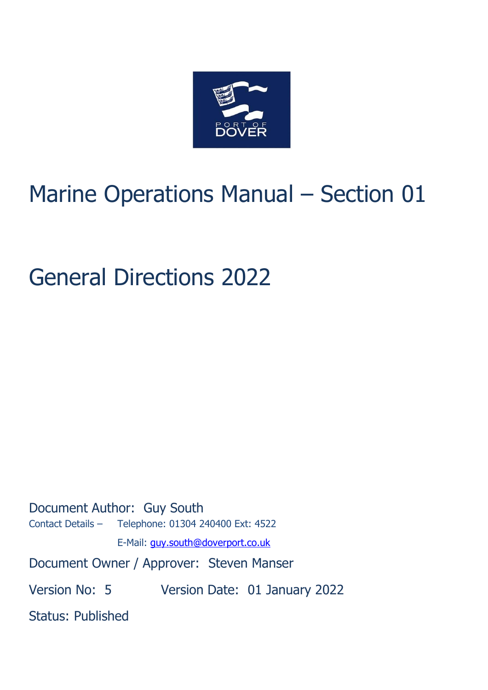

# Marine Operations Manual – Section 01

# General Directions 2022

Document Author: Guy South Contact Details – Telephone: 01304 240400 Ext: 4522 E-Mail: [guy.south@doverport.co.uk](mailto:mike.stevenson@doverport.co.uk) Document Owner / Approver: Steven Manser Version No: 5 Version Date: 01 January 2022 Status: Published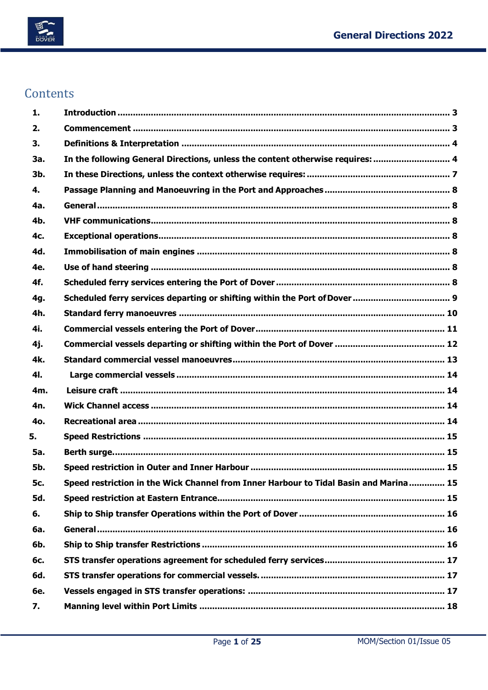

# Contents

| 1.             |                                                                                       |  |
|----------------|---------------------------------------------------------------------------------------|--|
| 2.             |                                                                                       |  |
| 3.             |                                                                                       |  |
| За.            | In the following General Directions, unless the content otherwise requires:  4        |  |
| 3 <sub>b</sub> |                                                                                       |  |
| 4.             |                                                                                       |  |
| 4a.            |                                                                                       |  |
| 4 <b>b</b> .   |                                                                                       |  |
| 4c.            |                                                                                       |  |
| 4d.            |                                                                                       |  |
| 4e.            |                                                                                       |  |
| 4f.            |                                                                                       |  |
| 4g.            |                                                                                       |  |
| 4h.            |                                                                                       |  |
| 4i.            |                                                                                       |  |
| 4j.            |                                                                                       |  |
| 4k.            |                                                                                       |  |
| 4I.            |                                                                                       |  |
| 4m.            |                                                                                       |  |
| 4n.            |                                                                                       |  |
| 4o.            |                                                                                       |  |
| 5.             |                                                                                       |  |
| <b>5a.</b>     |                                                                                       |  |
| <b>5b.</b>     |                                                                                       |  |
| <b>5с.</b>     | Speed restriction in the Wick Channel from Inner Harbour to Tidal Basin and Marina 15 |  |
| 5d.            |                                                                                       |  |
| 6.             |                                                                                       |  |
| 6a.            |                                                                                       |  |
| 6 <b>b</b> .   |                                                                                       |  |
| 6с.            |                                                                                       |  |
| 6d.            |                                                                                       |  |
| <b>6e.</b>     |                                                                                       |  |
| 7.             |                                                                                       |  |
|                |                                                                                       |  |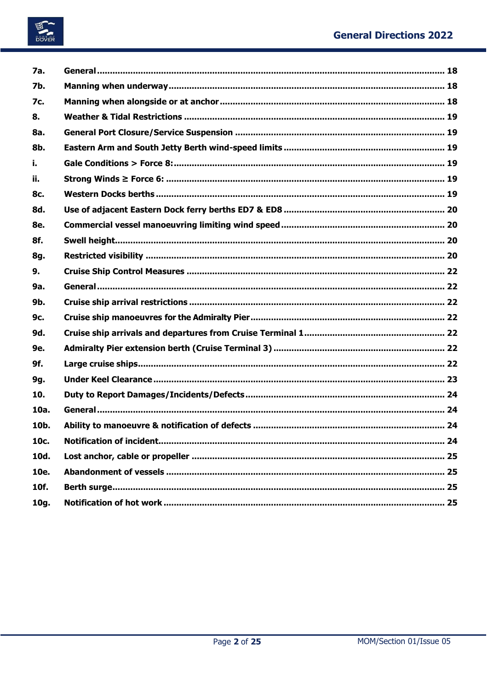

| 7a.        |  |
|------------|--|
| <b>7b.</b> |  |
| 7c.        |  |
| 8.         |  |
| 8a.        |  |
| 8b.        |  |
| i.         |  |
| ii.        |  |
| 8c.        |  |
| 8d.        |  |
| 8e.        |  |
| 8f.        |  |
| 8g.        |  |
| 9.         |  |
| 9a.        |  |
| 9b.        |  |
| 9c.        |  |
| 9d.        |  |
| 9e.        |  |
| 9f.        |  |
| 9g.        |  |
| 10.        |  |
| 10a.       |  |
| 10b.       |  |
| 10c.       |  |
| 10d.       |  |
| 10e.       |  |
| 10f.       |  |
| 10g.       |  |
|            |  |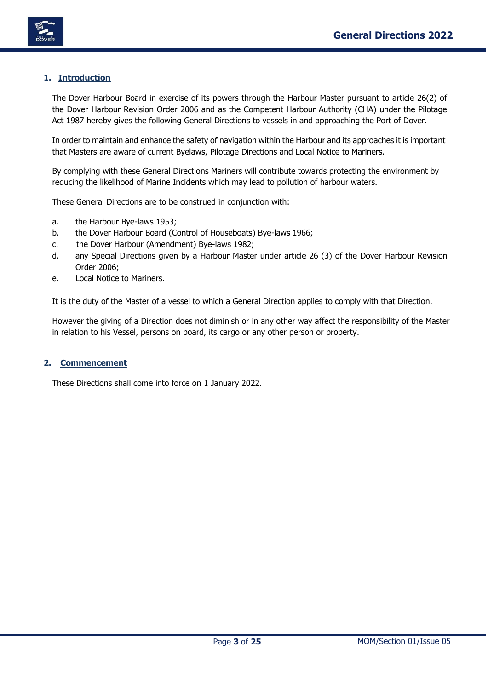

# <span id="page-3-0"></span>**1. Introduction**

The Dover Harbour Board in exercise of its powers through the Harbour Master pursuant to article 26(2) of the Dover Harbour Revision Order 2006 and as the Competent Harbour Authority (CHA) under the Pilotage Act 1987 hereby gives the following General Directions to vessels in and approaching the Port of Dover.

In order to maintain and enhance the safety of navigation within the Harbour and its approaches it is important that Masters are aware of current Byelaws, Pilotage Directions and Local Notice to Mariners.

By complying with these General Directions Mariners will contribute towards protecting the environment by reducing the likelihood of Marine Incidents which may lead to pollution of harbour waters.

These General Directions are to be construed in conjunction with:

- a. the Harbour Bye-laws 1953;
- b. the Dover Harbour Board (Control of Houseboats) Bye-laws 1966;
- c. the Dover Harbour (Amendment) Bye-laws 1982;
- d. any Special Directions given by a Harbour Master under article 26 (3) of the Dover Harbour Revision Order 2006;
- e. Local Notice to Mariners.

It is the duty of the Master of a vessel to which a General Direction applies to comply with that Direction.

However the giving of a Direction does not diminish or in any other way affect the responsibility of the Master in relation to his Vessel, persons on board, its cargo or any other person or property.

### <span id="page-3-1"></span>**2. Commencement**

These Directions shall come into force on 1 January 2022.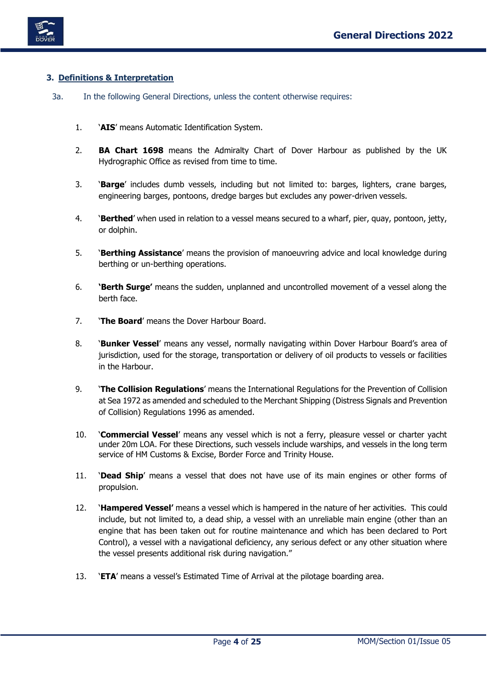

# <span id="page-4-0"></span>**3. Definitions & Interpretation**

- <span id="page-4-1"></span>3a. In the following General Directions, unless the content otherwise requires:
	- 1. '**AIS**' means Automatic Identification System.
	- 2. **BA Chart 1698** means the Admiralty Chart of Dover Harbour as published by the UK Hydrographic Office as revised from time to time.
	- 3. '**Barge**' includes dumb vessels, including but not limited to: barges, lighters, crane barges, engineering barges, pontoons, dredge barges but excludes any power-driven vessels.
	- 4. '**Berthed**' when used in relation to a vessel means secured to a wharf, pier, quay, pontoon, jetty, or dolphin.
	- 5. '**Berthing Assistance**' means the provision of manoeuvring advice and local knowledge during berthing or un-berthing operations.
	- 6. **'Berth Surge'** means the sudden, unplanned and uncontrolled movement of a vessel along the berth face.
	- 7. '**The Board**' means the Dover Harbour Board.
	- 8. '**Bunker Vessel**' means any vessel, normally navigating within Dover Harbour Board's area of jurisdiction, used for the storage, transportation or delivery of oil products to vessels or facilities in the Harbour.
	- 9. '**The Collision Regulations**' means the International Regulations for the Prevention of Collision at Sea 1972 as amended and scheduled to the Merchant Shipping (Distress Signals and Prevention of Collision) Regulations 1996 as amended.
	- 10. '**Commercial Vessel**' means any vessel which is not a ferry, pleasure vessel or charter yacht under 20m LOA. For these Directions, such vessels include warships, and vessels in the long term service of HM Customs & Excise, Border Force and Trinity House.
	- 11. '**Dead Ship**' means a vessel that does not have use of its main engines or other forms of propulsion.
	- 12. '**Hampered Vessel'** means a vessel which is hampered in the nature of her activities. This could include, but not limited to, a dead ship, a vessel with an unreliable main engine (other than an engine that has been taken out for routine maintenance and which has been declared to Port Control), a vessel with a navigational deficiency, any serious defect or any other situation where the vessel presents additional risk during navigation."
	- 13. '**ETA**' means a vessel's Estimated Time of Arrival at the pilotage boarding area.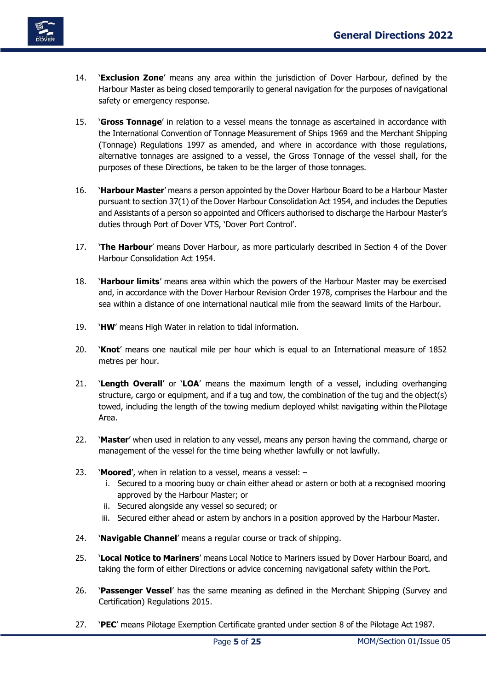

- 14. '**Exclusion Zone**' means any area within the jurisdiction of Dover Harbour, defined by the Harbour Master as being closed temporarily to general navigation for the purposes of navigational safety or emergency response.
- 15. '**Gross Tonnage**' in relation to a vessel means the tonnage as ascertained in accordance with the International Convention of Tonnage Measurement of Ships 1969 and the Merchant Shipping (Tonnage) Regulations 1997 as amended, and where in accordance with those regulations, alternative tonnages are assigned to a vessel, the Gross Tonnage of the vessel shall, for the purposes of these Directions, be taken to be the larger of those tonnages.
- 16. '**Harbour Master**' means a person appointed by the Dover Harbour Board to be a Harbour Master pursuant to section 37(1) of the Dover Harbour Consolidation Act 1954, and includes the Deputies and Assistants of a person so appointed and Officers authorised to discharge the Harbour Master's duties through Port of Dover VTS, 'Dover Port Control'.
- 17. '**The Harbour**' means Dover Harbour, as more particularly described in Section 4 of the Dover Harbour Consolidation Act 1954.
- 18. '**Harbour limits**' means area within which the powers of the Harbour Master may be exercised and, in accordance with the Dover Harbour Revision Order 1978, comprises the Harbour and the sea within a distance of one international nautical mile from the seaward limits of the Harbour.
- 19. '**HW**' means High Water in relation to tidal information.
- 20. '**Knot**' means one nautical mile per hour which is equal to an International measure of 1852 metres per hour.
- 21. '**Length Overall**' or '**LOA**' means the maximum length of a vessel, including overhanging structure, cargo or equipment, and if a tug and tow, the combination of the tug and the object(s) towed, including the length of the towing medium deployed whilst navigating within the Pilotage Area.
- 22. '**Master**' when used in relation to any vessel, means any person having the command, charge or management of the vessel for the time being whether lawfully or not lawfully.
- 23. '**Moored**', when in relation to a vessel, means a vessel:
	- i. Secured to a mooring buoy or chain either ahead or astern or both at a recognised mooring approved by the Harbour Master; or
	- ii. Secured alongside any vessel so secured; or
	- iii. Secured either ahead or astern by anchors in a position approved by the Harbour Master.
- 24. '**Navigable Channel**' means a regular course or track of shipping.
- 25. '**Local Notice to Mariners**' means Local Notice to Mariners issued by Dover Harbour Board, and taking the form of either Directions or advice concerning navigational safety within the Port.
- 26. '**Passenger Vessel**' has the same meaning as defined in the Merchant Shipping (Survey and Certification) Regulations 2015.
- 27. '**PEC**' means Pilotage Exemption Certificate granted under section 8 of the Pilotage Act 1987.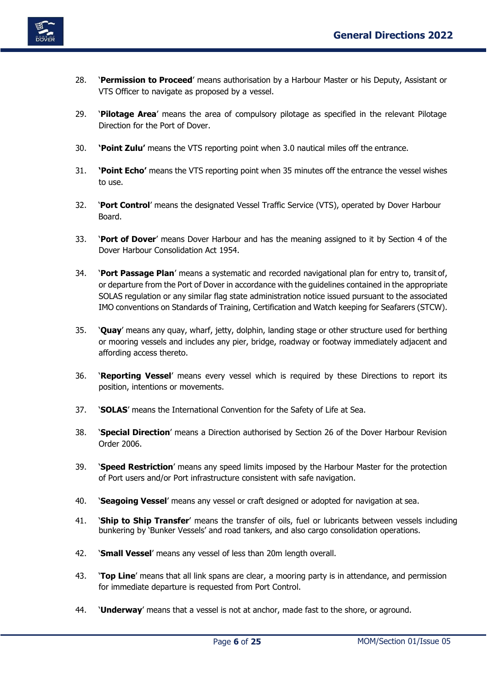

- 28. '**Permission to Proceed**' means authorisation by a Harbour Master or his Deputy, Assistant or VTS Officer to navigate as proposed by a vessel.
- 29. '**Pilotage Area**' means the area of compulsory pilotage as specified in the relevant Pilotage Direction for the Port of Dover.
- 30. **'Point Zulu'** means the VTS reporting point when 3.0 nautical miles off the entrance.
- 31. **'Point Echo'** means the VTS reporting point when 35 minutes off the entrance the vessel wishes to use.
- 32. '**Port Control**' means the designated Vessel Traffic Service (VTS), operated by Dover Harbour Board.
- 33. '**Port of Dover**' means Dover Harbour and has the meaning assigned to it by Section 4 of the Dover Harbour Consolidation Act 1954.
- 34. '**Port Passage Plan**' means a systematic and recorded navigational plan for entry to, transit of, or departure from the Port of Dover in accordance with the guidelines contained in the appropriate SOLAS regulation or any similar flag state administration notice issued pursuant to the associated IMO conventions on Standards of Training, Certification and Watch keeping for Seafarers (STCW).
- 35. '**Quay**' means any quay, wharf, jetty, dolphin, landing stage or other structure used for berthing or mooring vessels and includes any pier, bridge, roadway or footway immediately adjacent and affording access thereto.
- 36. '**Reporting Vessel**' means every vessel which is required by these Directions to report its position, intentions or movements.
- 37. '**SOLAS**' means the International Convention for the Safety of Life at Sea.
- 38. '**Special Direction**' means a Direction authorised by Section 26 of the Dover Harbour Revision Order 2006.
- 39. '**Speed Restriction**' means any speed limits imposed by the Harbour Master for the protection of Port users and/or Port infrastructure consistent with safe navigation.
- 40. '**Seagoing Vessel**' means any vessel or craft designed or adopted for navigation at sea.
- 41. '**Ship to Ship Transfer**' means the transfer of oils, fuel or lubricants between vessels including bunkering by 'Bunker Vessels' and road tankers, and also cargo consolidation operations.
- 42. '**Small Vessel**' means any vessel of less than 20m length overall.
- 43. '**Top Line**' means that all link spans are clear, a mooring party is in attendance, and permission for immediate departure is requested from Port Control.
- 44. '**Underway**' means that a vessel is not at anchor, made fast to the shore, or aground.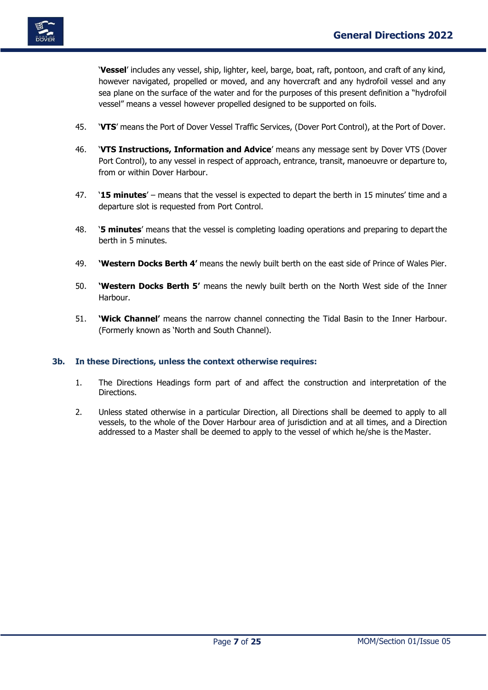

'**Vessel**' includes any vessel, ship, lighter, keel, barge, boat, raft, pontoon, and craft of any kind, however navigated, propelled or moved, and any hovercraft and any hydrofoil vessel and any sea plane on the surface of the water and for the purposes of this present definition a "hydrofoil vessel" means a vessel however propelled designed to be supported on foils.

- 45. '**VTS**' means the Port of Dover Vessel Traffic Services, (Dover Port Control), at the Port of Dover.
- 46. '**VTS Instructions, Information and Advice**' means any message sent by Dover VTS (Dover Port Control), to any vessel in respect of approach, entrance, transit, manoeuvre or departure to, from or within Dover Harbour.
- 47. '**15 minutes**' means that the vessel is expected to depart the berth in 15 minutes' time and a departure slot is requested from Port Control.
- 48. '**5 minutes**' means that the vessel is completing loading operations and preparing to depart the berth in 5 minutes.
- 49. **'Western Docks Berth 4'** means the newly built berth on the east side of Prince of Wales Pier.
- 50. **'Western Docks Berth 5'** means the newly built berth on the North West side of the Inner Harbour.
- 51. **'Wick Channel'** means the narrow channel connecting the Tidal Basin to the Inner Harbour. (Formerly known as 'North and South Channel).

### <span id="page-7-0"></span>**3b. In these Directions, unless the context otherwise requires:**

- 1. The Directions Headings form part of and affect the construction and interpretation of the Directions.
- 2. Unless stated otherwise in a particular Direction, all Directions shall be deemed to apply to all vessels, to the whole of the Dover Harbour area of jurisdiction and at all times, and a Direction addressed to a Master shall be deemed to apply to the vessel of which he/she is the Master.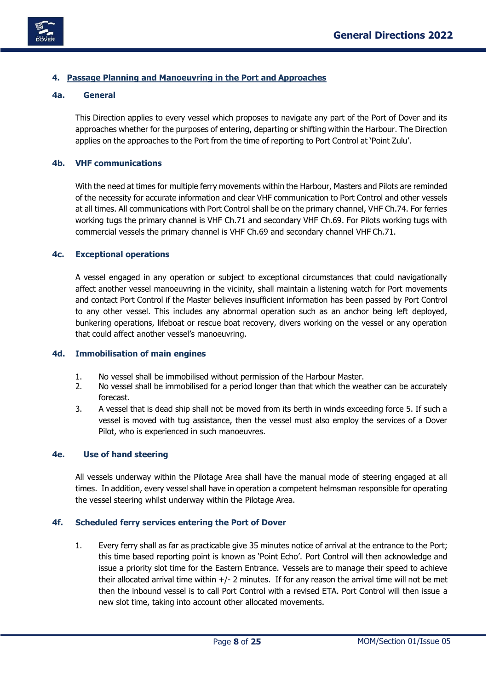

# <span id="page-8-0"></span>**4. Passage Planning and Manoeuvring in the Port and Approaches**

# <span id="page-8-1"></span>**4a. General**

This Direction applies to every vessel which proposes to navigate any part of the Port of Dover and its approaches whether for the purposes of entering, departing or shifting within the Harbour. The Direction applies on the approaches to the Port from the time of reporting to Port Control at 'Point Zulu'.

# <span id="page-8-2"></span>**4b. VHF communications**

With the need at times for multiple ferry movements within the Harbour, Masters and Pilots are reminded of the necessity for accurate information and clear VHF communication to Port Control and other vessels at all times. All communications with Port Control shall be on the primary channel, VHF Ch.74. For ferries working tugs the primary channel is VHF Ch.71 and secondary VHF Ch.69. For Pilots working tugs with commercial vessels the primary channel is VHF Ch.69 and secondary channel VHF Ch.71.

# <span id="page-8-3"></span>**4c. Exceptional operations**

A vessel engaged in any operation or subject to exceptional circumstances that could navigationally affect another vessel manoeuvring in the vicinity, shall maintain a listening watch for Port movements and contact Port Control if the Master believes insufficient information has been passed by Port Control to any other vessel. This includes any abnormal operation such as an anchor being left deployed, bunkering operations, lifeboat or rescue boat recovery, divers working on the vessel or any operation that could affect another vessel's manoeuvring.

### <span id="page-8-4"></span>**4d. Immobilisation of main engines**

- 1. No vessel shall be immobilised without permission of the Harbour Master.
- 2. No vessel shall be immobilised for a period longer than that which the weather can be accurately forecast.
- 3. A vessel that is dead ship shall not be moved from its berth in winds exceeding force 5. If such a vessel is moved with tug assistance, then the vessel must also employ the services of a Dover Pilot, who is experienced in such manoeuvres.

## <span id="page-8-5"></span>**4e. Use of hand steering**

All vessels underway within the Pilotage Area shall have the manual mode of steering engaged at all times. In addition, every vessel shall have in operation a competent helmsman responsible for operating the vessel steering whilst underway within the Pilotage Area.

### <span id="page-8-6"></span>**4f. Scheduled ferry services entering the Port of Dover**

1. Every ferry shall as far as practicable give 35 minutes notice of arrival at the entrance to the Port; this time based reporting point is known as 'Point Echo'. Port Control will then acknowledge and issue a priority slot time for the Eastern Entrance. Vessels are to manage their speed to achieve their allocated arrival time within  $+/- 2$  minutes. If for any reason the arrival time will not be met then the inbound vessel is to call Port Control with a revised ETA. Port Control will then issue a new slot time, taking into account other allocated movements.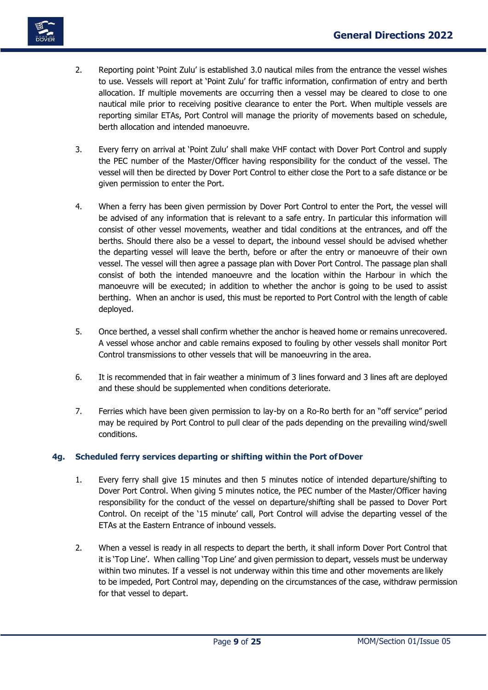

- 2. Reporting point 'Point Zulu' is established 3.0 nautical miles from the entrance the vessel wishes to use. Vessels will report at 'Point Zulu' for traffic information, confirmation of entry and berth allocation. If multiple movements are occurring then a vessel may be cleared to close to one nautical mile prior to receiving positive clearance to enter the Port. When multiple vessels are reporting similar ETAs, Port Control will manage the priority of movements based on schedule, berth allocation and intended manoeuvre.
- 3. Every ferry on arrival at 'Point Zulu' shall make VHF contact with Dover Port Control and supply the PEC number of the Master/Officer having responsibility for the conduct of the vessel. The vessel will then be directed by Dover Port Control to either close the Port to a safe distance or be given permission to enter the Port.
- 4. When a ferry has been given permission by Dover Port Control to enter the Port, the vessel will be advised of any information that is relevant to a safe entry. In particular this information will consist of other vessel movements, weather and tidal conditions at the entrances, and off the berths. Should there also be a vessel to depart, the inbound vessel should be advised whether the departing vessel will leave the berth, before or after the entry or manoeuvre of their own vessel. The vessel will then agree a passage plan with Dover Port Control. The passage plan shall consist of both the intended manoeuvre and the location within the Harbour in which the manoeuvre will be executed; in addition to whether the anchor is going to be used to assist berthing. When an anchor is used, this must be reported to Port Control with the length of cable deployed.
- 5. Once berthed, a vessel shall confirm whether the anchor is heaved home or remains unrecovered. A vessel whose anchor and cable remains exposed to fouling by other vessels shall monitor Port Control transmissions to other vessels that will be manoeuvring in the area.
- 6. It is recommended that in fair weather a minimum of 3 lines forward and 3 lines aft are deployed and these should be supplemented when conditions deteriorate.
- 7. Ferries which have been given permission to lay-by on a Ro-Ro berth for an "off service" period may be required by Port Control to pull clear of the pads depending on the prevailing wind/swell conditions.

# <span id="page-9-0"></span>**4g. Scheduled ferry services departing or shifting within the Port ofDover**

- 1. Every ferry shall give 15 minutes and then 5 minutes notice of intended departure/shifting to Dover Port Control. When giving 5 minutes notice, the PEC number of the Master/Officer having responsibility for the conduct of the vessel on departure/shifting shall be passed to Dover Port Control. On receipt of the '15 minute' call, Port Control will advise the departing vessel of the ETAs at the Eastern Entrance of inbound vessels.
- 2. When a vessel is ready in all respects to depart the berth, it shall inform Dover Port Control that it is 'Top Line'. When calling 'Top Line' and given permission to depart, vessels must be underway within two minutes. If a vessel is not underway within this time and other movements are likely to be impeded, Port Control may, depending on the circumstances of the case, withdraw permission for that vessel to depart.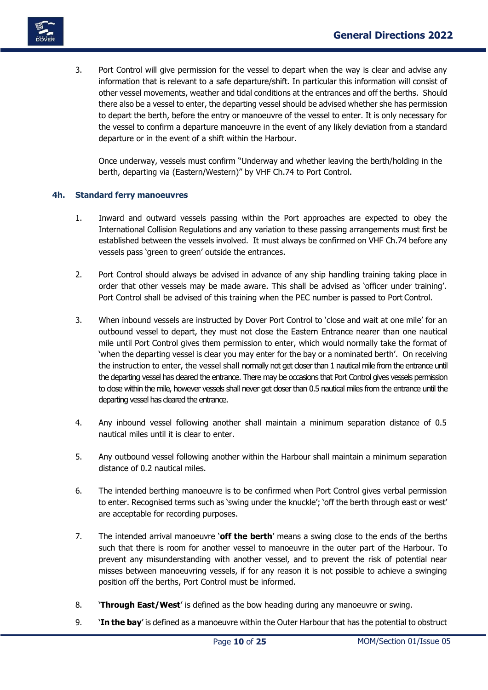

3. Port Control will give permission for the vessel to depart when the way is clear and advise any information that is relevant to a safe departure/shift. In particular this information will consist of other vessel movements, weather and tidal conditions at the entrances and off the berths. Should there also be a vessel to enter, the departing vessel should be advised whether she has permission to depart the berth, before the entry or manoeuvre of the vessel to enter. It is only necessary for the vessel to confirm a departure manoeuvre in the event of any likely deviation from a standard departure or in the event of a shift within the Harbour.

Once underway, vessels must confirm "Underway and whether leaving the berth/holding in the berth, departing via (Eastern/Western)" by VHF Ch.74 to Port Control.

# <span id="page-10-0"></span>**4h. Standard ferry manoeuvres**

- 1. Inward and outward vessels passing within the Port approaches are expected to obey the International Collision Regulations and any variation to these passing arrangements must first be established between the vessels involved. It must always be confirmed on VHF Ch.74 before any vessels pass 'green to green' outside the entrances.
- 2. Port Control should always be advised in advance of any ship handling training taking place in order that other vessels may be made aware. This shall be advised as 'officer under training'. Port Control shall be advised of this training when the PEC number is passed to Port Control.
- 3. When inbound vessels are instructed by Dover Port Control to 'close and wait at one mile' for an outbound vessel to depart, they must not close the Eastern Entrance nearer than one nautical mile until Port Control gives them permission to enter, which would normally take the format of 'when the departing vessel is clear you may enter for the bay or a nominated berth'. On receiving the instruction to enter, the vessel shall normally not get closer than 1 nautical mile from the entrance until the departing vessel has cleared the entrance. There may be occasions that Port Control gives vessels permission to dose within the mile, however vessels shall never get doser than 0.5 nautical miles from the entrance until the departing vessel has cleared the entrance.
- 4. Any inbound vessel following another shall maintain a minimum separation distance of 0.5 nautical miles until it is clear to enter.
- 5. Any outbound vessel following another within the Harbour shall maintain a minimum separation distance of 0.2 nautical miles.
- 6. The intended berthing manoeuvre is to be confirmed when Port Control gives verbal permission to enter. Recognised terms such as 'swing under the knuckle'; 'off the berth through east or west' are acceptable for recording purposes.
- 7. The intended arrival manoeuvre '**off the berth**' means a swing close to the ends of the berths such that there is room for another vessel to manoeuvre in the outer part of the Harbour. To prevent any misunderstanding with another vessel, and to prevent the risk of potential near misses between manoeuvring vessels, if for any reason it is not possible to achieve a swinging position off the berths, Port Control must be informed.
- 8. '**Through East/West**' is defined as the bow heading during any manoeuvre or swing.
- 9. '**In the bay**' is defined as a manoeuvre within the Outer Harbour that has the potential to obstruct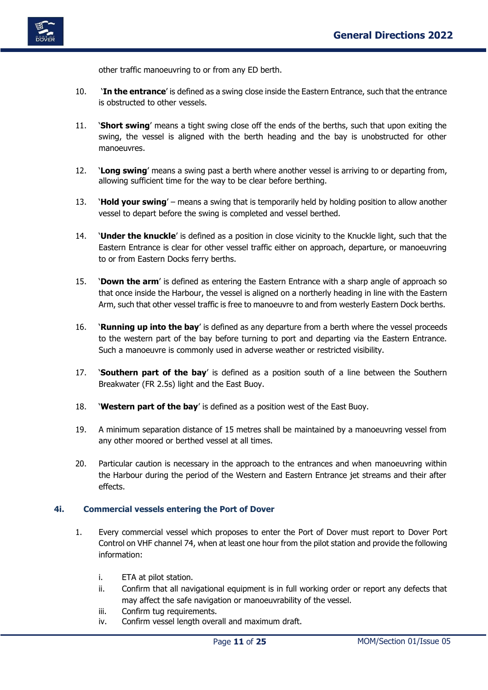

other traffic manoeuvring to or from any ED berth.

- 10. '**In the entrance**' is defined as a swing close inside the Eastern Entrance, such that the entrance is obstructed to other vessels.
- 11. '**Short swing**' means a tight swing close off the ends of the berths, such that upon exiting the swing, the vessel is aligned with the berth heading and the bay is unobstructed for other manoeuvres.
- 12. '**Long swing**' means a swing past a berth where another vessel is arriving to or departing from, allowing sufficient time for the way to be clear before berthing.
- 13. '**Hold your swing**' means a swing that is temporarily held by holding position to allow another vessel to depart before the swing is completed and vessel berthed.
- 14. '**Under the knuckle**' is defined as a position in close vicinity to the Knuckle light, such that the Eastern Entrance is clear for other vessel traffic either on approach, departure, or manoeuvring to or from Eastern Docks ferry berths.
- 15. '**Down the arm**' is defined as entering the Eastern Entrance with a sharp angle of approach so that once inside the Harbour, the vessel is aligned on a northerly heading in line with the Eastern Arm, such that other vessel traffic is free to manoeuvre to and from westerly Eastern Dock berths.
- 16. '**Running up into the bay**' is defined as any departure from a berth where the vessel proceeds to the western part of the bay before turning to port and departing via the Eastern Entrance. Such a manoeuvre is commonly used in adverse weather or restricted visibility.
- 17. '**Southern part of the bay**' is defined as a position south of a line between the Southern Breakwater (FR 2.5s) light and the East Buoy.
- 18. '**Western part of the bay**' is defined as a position west of the East Buoy.
- 19. A minimum separation distance of 15 metres shall be maintained by a manoeuvring vessel from any other moored or berthed vessel at all times.
- 20. Particular caution is necessary in the approach to the entrances and when manoeuvring within the Harbour during the period of the Western and Eastern Entrance jet streams and their after effects.

### <span id="page-11-0"></span>**4i. Commercial vessels entering the Port of Dover**

- 1. Every commercial vessel which proposes to enter the Port of Dover must report to Dover Port Control on VHF channel 74, when at least one hour from the pilot station and provide the following information:
	- i. ETA at pilot station.
	- ii. Confirm that all navigational equipment is in full working order or report any defects that may affect the safe navigation or manoeuvrability of the vessel.
	- iii. Confirm tug requirements.
	- iv. Confirm vessel length overall and maximum draft.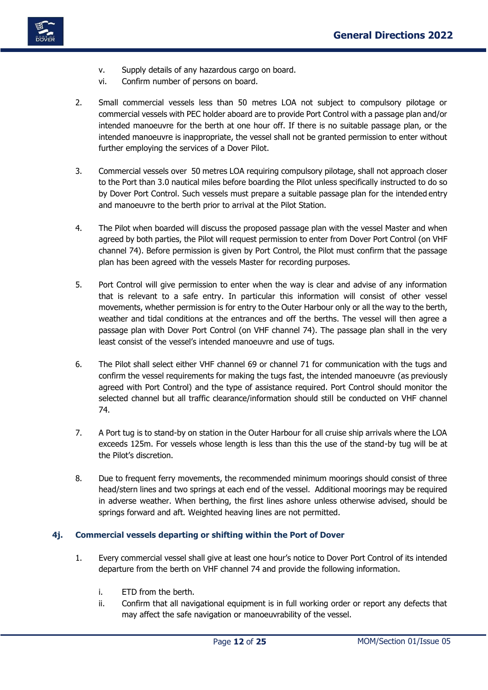

- v. Supply details of any hazardous cargo on board.
- vi. Confirm number of persons on board.
- 2. Small commercial vessels less than 50 metres LOA not subject to compulsory pilotage or commercial vessels with PEC holder aboard are to provide Port Control with a passage plan and/or intended manoeuvre for the berth at one hour off. If there is no suitable passage plan, or the intended manoeuvre is inappropriate, the vessel shall not be granted permission to enter without further employing the services of a Dover Pilot.
- 3. Commercial vessels over 50 metres LOA requiring compulsory pilotage, shall not approach closer to the Port than 3.0 nautical miles before boarding the Pilot unless specifically instructed to do so by Dover Port Control. Such vessels must prepare a suitable passage plan for the intended entry and manoeuvre to the berth prior to arrival at the Pilot Station.
- 4. The Pilot when boarded will discuss the proposed passage plan with the vessel Master and when agreed by both parties, the Pilot will request permission to enter from Dover Port Control (on VHF channel 74). Before permission is given by Port Control, the Pilot must confirm that the passage plan has been agreed with the vessels Master for recording purposes.
- 5. Port Control will give permission to enter when the way is clear and advise of any information that is relevant to a safe entry. In particular this information will consist of other vessel movements, whether permission is for entry to the Outer Harbour only or all the way to the berth, weather and tidal conditions at the entrances and off the berths. The vessel will then agree a passage plan with Dover Port Control (on VHF channel 74). The passage plan shall in the very least consist of the vessel's intended manoeuvre and use of tugs.
- 6. The Pilot shall select either VHF channel 69 or channel 71 for communication with the tugs and confirm the vessel requirements for making the tugs fast, the intended manoeuvre (as previously agreed with Port Control) and the type of assistance required. Port Control should monitor the selected channel but all traffic clearance/information should still be conducted on VHF channel 74.
- 7. A Port tug is to stand-by on station in the Outer Harbour for all cruise ship arrivals where the LOA exceeds 125m. For vessels whose length is less than this the use of the stand-by tug will be at the Pilot's discretion.
- 8. Due to frequent ferry movements, the recommended minimum moorings should consist of three head/stern lines and two springs at each end of the vessel. Additional moorings may be required in adverse weather. When berthing, the first lines ashore unless otherwise advised, should be springs forward and aft. Weighted heaving lines are not permitted.

# <span id="page-12-0"></span>**4j. Commercial vessels departing or shifting within the Port of Dover**

- 1. Every commercial vessel shall give at least one hour's notice to Dover Port Control of its intended departure from the berth on VHF channel 74 and provide the following information.
	- i. ETD from the berth.
	- ii. Confirm that all navigational equipment is in full working order or report any defects that may affect the safe navigation or manoeuvrability of the vessel.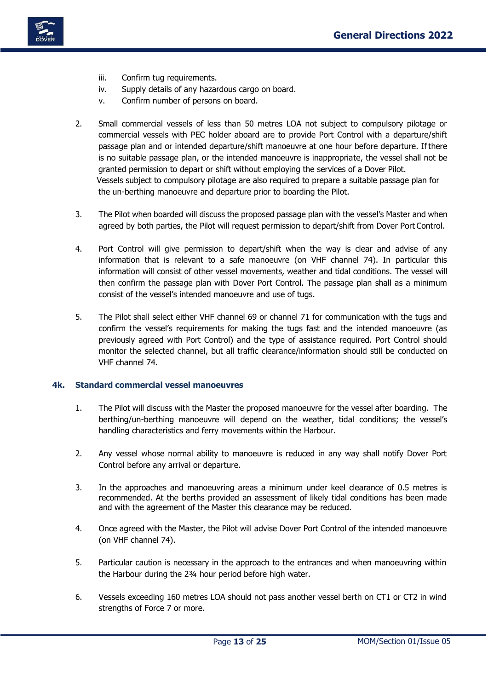

- iii. Confirm tug requirements.
- iv. Supply details of any hazardous cargo on board.
- v. Confirm number of persons on board.
- 2. Small commercial vessels of less than 50 metres LOA not subject to compulsory pilotage or commercial vessels with PEC holder aboard are to provide Port Control with a departure/shift passage plan and or intended departure/shift manoeuvre at one hour before departure. If there is no suitable passage plan, or the intended manoeuvre is inappropriate, the vessel shall not be granted permission to depart or shift without employing the services of a Dover Pilot. Vessels subject to compulsory pilotage are also required to prepare a suitable passage plan for the un-berthing manoeuvre and departure prior to boarding the Pilot.
- 3. The Pilot when boarded will discuss the proposed passage plan with the vessel's Master and when agreed by both parties, the Pilot will request permission to depart/shift from Dover Port Control.
- 4. Port Control will give permission to depart/shift when the way is clear and advise of any information that is relevant to a safe manoeuvre (on VHF channel 74). In particular this information will consist of other vessel movements, weather and tidal conditions. The vessel will then confirm the passage plan with Dover Port Control. The passage plan shall as a minimum consist of the vessel's intended manoeuvre and use of tugs.
- 5. The Pilot shall select either VHF channel 69 or channel 71 for communication with the tugs and confirm the vessel's requirements for making the tugs fast and the intended manoeuvre (as previously agreed with Port Control) and the type of assistance required. Port Control should monitor the selected channel, but all traffic clearance/information should still be conducted on VHF channel 74.

## <span id="page-13-0"></span>**4k. Standard commercial vessel manoeuvres**

- 1. The Pilot will discuss with the Master the proposed manoeuvre for the vessel after boarding. The berthing/un-berthing manoeuvre will depend on the weather, tidal conditions; the vessel's handling characteristics and ferry movements within the Harbour.
- 2. Any vessel whose normal ability to manoeuvre is reduced in any way shall notify Dover Port Control before any arrival or departure.
- 3. In the approaches and manoeuvring areas a minimum under keel clearance of 0.5 metres is recommended. At the berths provided an assessment of likely tidal conditions has been made and with the agreement of the Master this clearance may be reduced.
- 4. Once agreed with the Master, the Pilot will advise Dover Port Control of the intended manoeuvre (on VHF channel 74).
- 5. Particular caution is necessary in the approach to the entrances and when manoeuvring within the Harbour during the 2¾ hour period before high water.
- 6. Vessels exceeding 160 metres LOA should not pass another vessel berth on CT1 or CT2 in wind strengths of Force 7 or more.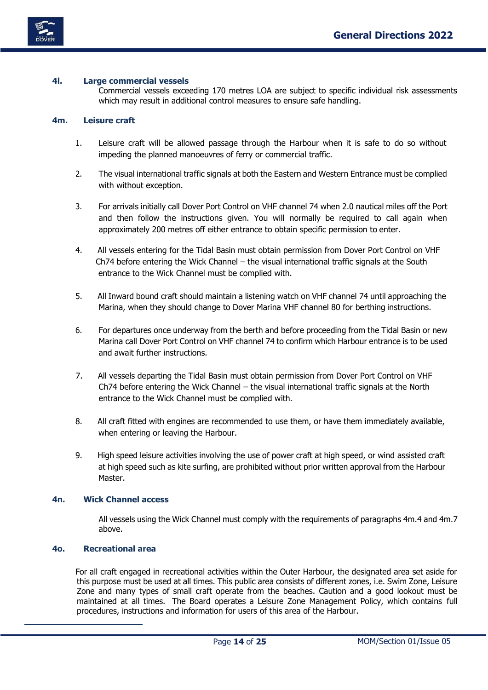

# <span id="page-14-0"></span>**4l. Large commercial vessels**

Commercial vessels exceeding 170 metres LOA are subject to specific individual risk assessments which may result in additional control measures to ensure safe handling.

# <span id="page-14-1"></span>**4m. Leisure craft**

- 1. Leisure craft will be allowed passage through the Harbour when it is safe to do so without impeding the planned manoeuvres of ferry or commercial traffic.
- 2. The visual international traffic signals at both the Eastern and Western Entrance must be complied with without exception.
- 3. For arrivals initially call Dover Port Control on VHF channel 74 when 2.0 nautical miles off the Port and then follow the instructions given. You will normally be required to call again when approximately 200 metres off either entrance to obtain specific permission to enter.
- 4. All vessels entering for the Tidal Basin must obtain permission from Dover Port Control on VHF Ch74 before entering the Wick Channel – the visual international traffic signals at the South entrance to the Wick Channel must be complied with.
- 5. All Inward bound craft should maintain a listening watch on VHF channel 74 until approaching the Marina, when they should change to Dover Marina VHF channel 80 for berthing instructions.
- 6. For departures once underway from the berth and before proceeding from the Tidal Basin or new Marina call Dover Port Control on VHF channel 74 to confirm which Harbour entrance is to be used and await further instructions.
- 7. All vessels departing the Tidal Basin must obtain permission from Dover Port Control on VHF Ch74 before entering the Wick Channel – the visual international traffic signals at the North entrance to the Wick Channel must be complied with.
- 8. All craft fitted with engines are recommended to use them, or have them immediately available, when entering or leaving the Harbour.
- 9. High speed leisure activities involving the use of power craft at high speed, or wind assisted craft at high speed such as kite surfing, are prohibited without prior written approval from the Harbour Master.

### <span id="page-14-2"></span>**4n. Wick Channel access**

All vessels using the Wick Channel must comply with the requirements of paragraphs 4m.4 and 4m.7 above.

### <span id="page-14-3"></span>**4o. Recreational area**

For all craft engaged in recreational activities within the Outer Harbour, the designated area set aside for this purpose must be used at all times. This public area consists of different zones, i.e. Swim Zone, Leisure Zone and many types of small craft operate from the beaches. Caution and a good lookout must be maintained at all times. The Board operates a Leisure Zone Management Policy, which contains full procedures, instructions and information for users of this area of the Harbour.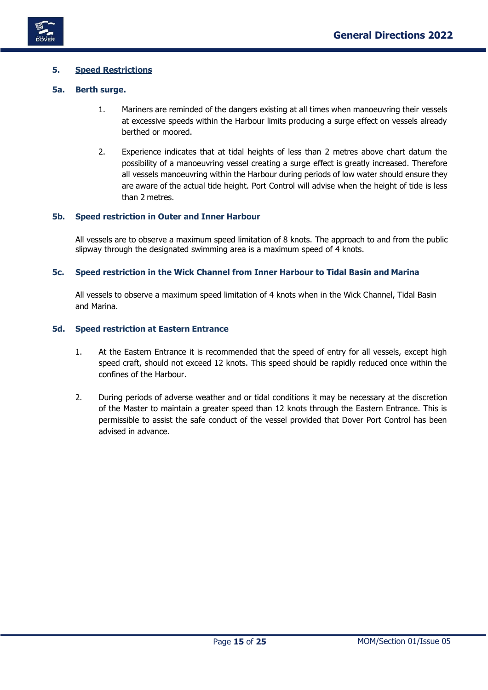

# <span id="page-15-0"></span>**5. Speed Restrictions**

# <span id="page-15-1"></span>**5a. Berth surge.**

- 1. Mariners are reminded of the dangers existing at all times when manoeuvring their vessels at excessive speeds within the Harbour limits producing a surge effect on vessels already berthed or moored.
- 2. Experience indicates that at tidal heights of less than 2 metres above chart datum the possibility of a manoeuvring vessel creating a surge effect is greatly increased. Therefore all vessels manoeuvring within the Harbour during periods of low water should ensure they are aware of the actual tide height. Port Control will advise when the height of tide is less than 2 metres.

# <span id="page-15-2"></span>**5b. Speed restriction in Outer and Inner Harbour**

All vessels are to observe a maximum speed limitation of 8 knots. The approach to and from the public slipway through the designated swimming area is a maximum speed of 4 knots.

# <span id="page-15-3"></span>**5c. Speed restriction in the Wick Channel from Inner Harbour to Tidal Basin and Marina**

All vessels to observe a maximum speed limitation of 4 knots when in the Wick Channel, Tidal Basin and Marina.

### <span id="page-15-4"></span>**5d. Speed restriction at Eastern Entrance**

- 1. At the Eastern Entrance it is recommended that the speed of entry for all vessels, except high speed craft, should not exceed 12 knots. This speed should be rapidly reduced once within the confines of the Harbour.
- 2. During periods of adverse weather and or tidal conditions it may be necessary at the discretion of the Master to maintain a greater speed than 12 knots through the Eastern Entrance. This is permissible to assist the safe conduct of the vessel provided that Dover Port Control has been advised in advance.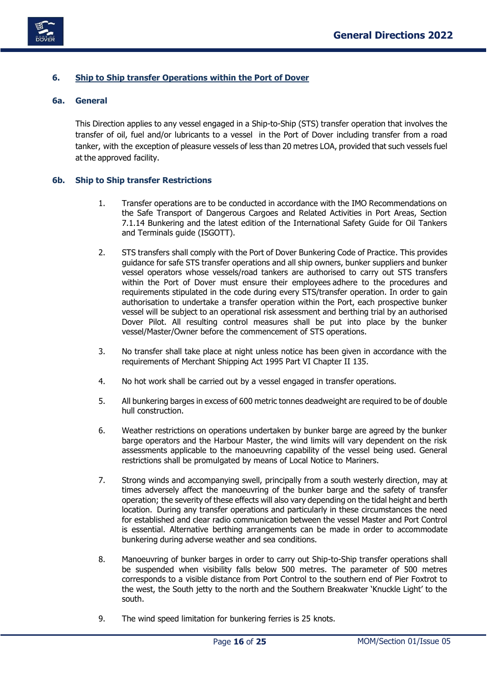



# <span id="page-16-0"></span>**6. Ship to Ship transfer Operations within the Port of Dover**

### <span id="page-16-1"></span>**6a. General**

This Direction applies to any vessel engaged in a Ship-to-Ship (STS) transfer operation that involves the transfer of oil, fuel and/or lubricants to a vessel in the Port of Dover including transfer from a road tanker, with the exception of pleasure vessels of less than 20 metres LOA, provided that such vessels fuel at the approved facility.

# <span id="page-16-2"></span>**6b. Ship to Ship transfer Restrictions**

- 1. Transfer operations are to be conducted in accordance with the IMO Recommendations on the Safe Transport of Dangerous Cargoes and Related Activities in Port Areas, Section 7.1.14 Bunkering and the latest edition of the International Safety Guide for Oil Tankers and Terminals guide (ISGOTT).
- 2. STS transfers shall comply with the Port of Dover Bunkering Code of Practice. This provides guidance for safe STS transfer operations and all ship owners, bunker suppliers and bunker vessel operators whose vessels/road tankers are authorised to carry out STS transfers within the Port of Dover must ensure their employees adhere to the procedures and requirements stipulated in the code during every STS/transfer operation. In order to gain authorisation to undertake a transfer operation within the Port, each prospective bunker vessel will be subject to an operational risk assessment and berthing trial by an authorised Dover Pilot. All resulting control measures shall be put into place by the bunker vessel/Master/Owner before the commencement of STS operations.
- 3. No transfer shall take place at night unless notice has been given in accordance with the requirements of Merchant Shipping Act 1995 Part VI Chapter II 135.
- 4. No hot work shall be carried out by a vessel engaged in transfer operations.
- 5. All bunkering barges in excess of 600 metric tonnes deadweight are required to be of double hull construction.
- 6. Weather restrictions on operations undertaken by bunker barge are agreed by the bunker barge operators and the Harbour Master, the wind limits will vary dependent on the risk assessments applicable to the manoeuvring capability of the vessel being used. General restrictions shall be promulgated by means of Local Notice to Mariners.
- 7. Strong winds and accompanying swell, principally from a south westerly direction, may at times adversely affect the manoeuvring of the bunker barge and the safety of transfer operation; the severity of these effects will also vary depending on the tidal height and berth location. During any transfer operations and particularly in these circumstances the need for established and clear radio communication between the vessel Master and Port Control is essential. Alternative berthing arrangements can be made in order to accommodate bunkering during adverse weather and sea conditions.
- 8. Manoeuvring of bunker barges in order to carry out Ship-to-Ship transfer operations shall be suspended when visibility falls below 500 metres. The parameter of 500 metres corresponds to a visible distance from Port Control to the southern end of Pier Foxtrot to the west, the South jetty to the north and the Southern Breakwater 'Knuckle Light' to the south.
- 9. The wind speed limitation for bunkering ferries is 25 knots.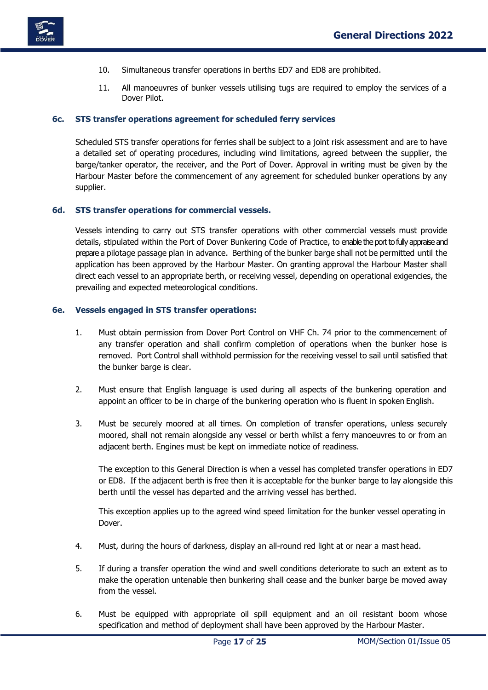

- 10. Simultaneous transfer operations in berths ED7 and ED8 are prohibited.
- 11. All manoeuvres of bunker vessels utilising tugs are required to employ the services of a Dover Pilot.

#### <span id="page-17-0"></span>**6c. STS transfer operations agreement for scheduled ferry services**

Scheduled STS transfer operations for ferries shall be subject to a joint risk assessment and are to have a detailed set of operating procedures, including wind limitations, agreed between the supplier, the barge/tanker operator, the receiver, and the Port of Dover. Approval in writing must be given by the Harbour Master before the commencement of any agreement for scheduled bunker operations by any supplier.

#### <span id="page-17-1"></span>**6d. STS transfer operations for commercial vessels.**

Vessels intending to carry out STS transfer operations with other commercial vessels must provide details, stipulated within the Port of Dover Bunkering Code of Practice, to enable the port to fully appraise and prepare a pilotage passage plan in advance. Berthing of the bunker barge shall not be permitted until the application has been approved by the Harbour Master. On granting approval the Harbour Master shall direct each vessel to an appropriate berth, or receiving vessel, depending on operational exigencies, the prevailing and expected meteorological conditions.

#### <span id="page-17-2"></span>**6e. Vessels engaged in STS transfer operations:**

- 1. Must obtain permission from Dover Port Control on VHF Ch. 74 prior to the commencement of any transfer operation and shall confirm completion of operations when the bunker hose is removed. Port Control shall withhold permission for the receiving vessel to sail until satisfied that the bunker barge is clear.
- 2. Must ensure that English language is used during all aspects of the bunkering operation and appoint an officer to be in charge of the bunkering operation who is fluent in spoken English.
- 3. Must be securely moored at all times. On completion of transfer operations, unless securely moored, shall not remain alongside any vessel or berth whilst a ferry manoeuvres to or from an adjacent berth. Engines must be kept on immediate notice of readiness.

The exception to this General Direction is when a vessel has completed transfer operations in ED7 or ED8. If the adjacent berth is free then it is acceptable for the bunker barge to lay alongside this berth until the vessel has departed and the arriving vessel has berthed.

This exception applies up to the agreed wind speed limitation for the bunker vessel operating in Dover.

- 4. Must, during the hours of darkness, display an all-round red light at or near a mast head.
- 5. If during a transfer operation the wind and swell conditions deteriorate to such an extent as to make the operation untenable then bunkering shall cease and the bunker barge be moved away from the vessel.
- 6. Must be equipped with appropriate oil spill equipment and an oil resistant boom whose specification and method of deployment shall have been approved by the Harbour Master.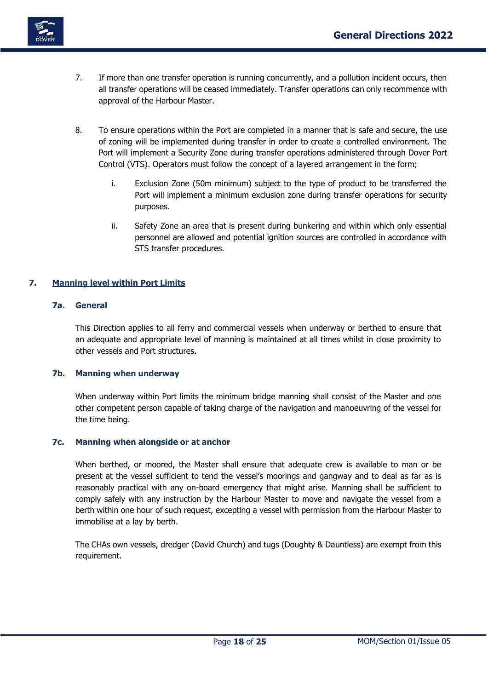

- 7. If more than one transfer operation is running concurrently, and a pollution incident occurs, then all transfer operations will be ceased immediately. Transfer operations can only recommence with approval of the Harbour Master.
- 8. To ensure operations within the Port are completed in a manner that is safe and secure, the use of zoning will be implemented during transfer in order to create a controlled environment. The Port will implement a Security Zone during transfer operations administered through Dover Port Control (VTS). Operators must follow the concept of a layered arrangement in the form;
	- i. Exclusion Zone (50m minimum) subject to the type of product to be transferred the Port will implement a minimum exclusion zone during transfer operations for security purposes.
	- ii. Safety Zone an area that is present during bunkering and within which only essential personnel are allowed and potential ignition sources are controlled in accordance with STS transfer procedures.

# <span id="page-18-1"></span><span id="page-18-0"></span>**7. Manning level within Port Limits**

# **7a. General**

This Direction applies to all ferry and commercial vessels when underway or berthed to ensure that an adequate and appropriate level of manning is maintained at all times whilst in close proximity to other vessels and Port structures.

# <span id="page-18-2"></span>**7b. Manning when underway**

When underway within Port limits the minimum bridge manning shall consist of the Master and one other competent person capable of taking charge of the navigation and manoeuvring of the vessel for the time being.

# <span id="page-18-3"></span>**7c. Manning when alongside or at anchor**

When berthed, or moored, the Master shall ensure that adequate crew is available to man or be present at the vessel sufficient to tend the vessel's moorings and gangway and to deal as far as is reasonably practical with any on-board emergency that might arise. Manning shall be sufficient to comply safely with any instruction by the Harbour Master to move and navigate the vessel from a berth within one hour of such request, excepting a vessel with permission from the Harbour Master to immobilise at a lay by berth.

The CHAs own vessels, dredger (David Church) and tugs (Doughty & Dauntless) are exempt from this requirement.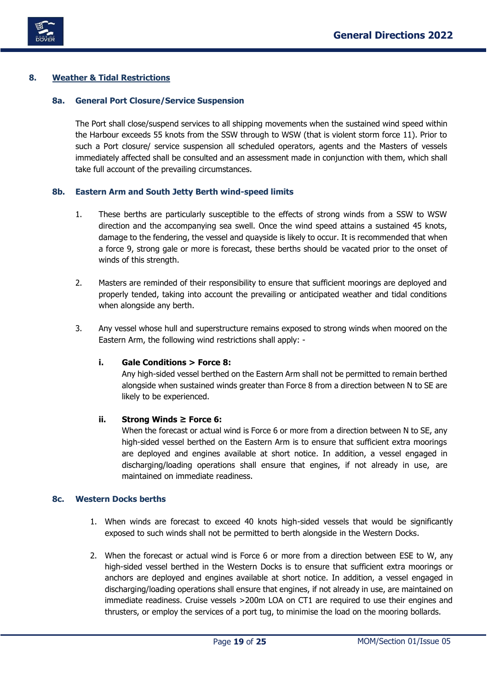

# <span id="page-19-1"></span><span id="page-19-0"></span>**8. Weather & Tidal Restrictions**

# **8a. General Port Closure/Service Suspension**

The Port shall close/suspend services to all shipping movements when the sustained wind speed within the Harbour exceeds 55 knots from the SSW through to WSW (that is violent storm force 11). Prior to such a Port closure/ service suspension all scheduled operators, agents and the Masters of vessels immediately affected shall be consulted and an assessment made in conjunction with them, which shall take full account of the prevailing circumstances.

# <span id="page-19-2"></span>**8b. Eastern Arm and South Jetty Berth wind-speed limits**

- 1. These berths are particularly susceptible to the effects of strong winds from a SSW to WSW direction and the accompanying sea swell. Once the wind speed attains a sustained 45 knots, damage to the fendering, the vessel and quayside is likely to occur. It is recommended that when a force 9, strong gale or more is forecast, these berths should be vacated prior to the onset of winds of this strength.
- 2. Masters are reminded of their responsibility to ensure that sufficient moorings are deployed and properly tended, taking into account the prevailing or anticipated weather and tidal conditions when alongside any berth.
- <span id="page-19-3"></span>3. Any vessel whose hull and superstructure remains exposed to strong winds when moored on the Eastern Arm, the following wind restrictions shall apply: -

# **i. Gale Conditions > Force 8:**

Any high-sided vessel berthed on the Eastern Arm shall not be permitted to remain berthed alongside when sustained winds greater than Force 8 from a direction between N to SE are likely to be experienced.

### <span id="page-19-4"></span>**ii. Strong Winds ≥ Force 6:**

When the forecast or actual wind is Force 6 or more from a direction between N to SE, any high-sided vessel berthed on the Eastern Arm is to ensure that sufficient extra moorings are deployed and engines available at short notice. In addition, a vessel engaged in discharging/loading operations shall ensure that engines, if not already in use, are maintained on immediate readiness.

# <span id="page-19-5"></span>**8c. Western Docks berths**

- 1. When winds are forecast to exceed 40 knots high-sided vessels that would be significantly exposed to such winds shall not be permitted to berth alongside in the Western Docks.
- 2. When the forecast or actual wind is Force 6 or more from a direction between ESE to W, any high-sided vessel berthed in the Western Docks is to ensure that sufficient extra moorings or anchors are deployed and engines available at short notice. In addition, a vessel engaged in discharging/loading operations shall ensure that engines, if not already in use, are maintained on immediate readiness. Cruise vessels >200m LOA on CT1 are required to use their engines and thrusters, or employ the services of a port tug, to minimise the load on the mooring bollards.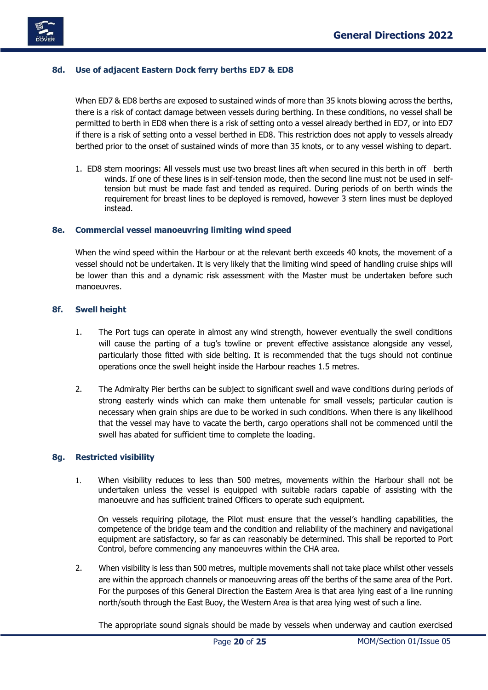

# <span id="page-20-0"></span>**8d. Use of adjacent Eastern Dock ferry berths ED7 & ED8**

When ED7 & ED8 berths are exposed to sustained winds of more than 35 knots blowing across the berths, there is a risk of contact damage between vessels during berthing. In these conditions, no vessel shall be permitted to berth in ED8 when there is a risk of setting onto a vessel already berthed in ED7, or into ED7 if there is a risk of setting onto a vessel berthed in ED8. This restriction does not apply to vessels already berthed prior to the onset of sustained winds of more than 35 knots, or to any vessel wishing to depart.

1. ED8 stern moorings: All vessels must use two breast lines aft when secured in this berth in off berth winds. If one of these lines is in self-tension mode, then the second line must not be used in selftension but must be made fast and tended as required. During periods of on berth winds the requirement for breast lines to be deployed is removed, however 3 stern lines must be deployed instead.

### <span id="page-20-1"></span>**8e. Commercial vessel manoeuvring limiting wind speed**

When the wind speed within the Harbour or at the relevant berth exceeds 40 knots, the movement of a vessel should not be undertaken. It is very likely that the limiting wind speed of handling cruise ships will be lower than this and a dynamic risk assessment with the Master must be undertaken before such manoeuvres.

### <span id="page-20-2"></span>**8f. Swell height**

- 1. The Port tugs can operate in almost any wind strength, however eventually the swell conditions will cause the parting of a tug's towline or prevent effective assistance alongside any vessel, particularly those fitted with side belting. It is recommended that the tugs should not continue operations once the swell height inside the Harbour reaches 1.5 metres.
- 2. The Admiralty Pier berths can be subject to significant swell and wave conditions during periods of strong easterly winds which can make them untenable for small vessels; particular caution is necessary when grain ships are due to be worked in such conditions. When there is any likelihood that the vessel may have to vacate the berth, cargo operations shall not be commenced until the swell has abated for sufficient time to complete the loading.

### <span id="page-20-3"></span>**8g. Restricted visibility**

1. When visibility reduces to less than 500 metres, movements within the Harbour shall not be undertaken unless the vessel is equipped with suitable radars capable of assisting with the manoeuvre and has sufficient trained Officers to operate such equipment.

On vessels requiring pilotage, the Pilot must ensure that the vessel's handling capabilities, the competence of the bridge team and the condition and reliability of the machinery and navigational equipment are satisfactory, so far as can reasonably be determined. This shall be reported to Port Control, before commencing any manoeuvres within the CHA area.

2. When visibility is less than 500 metres, multiple movements shall not take place whilst other vessels are within the approach channels or manoeuvring areas off the berths of the same area of the Port. For the purposes of this General Direction the Eastern Area is that area lying east of a line running north/south through the East Buoy, the Western Area is that area lying west of such a line.

The appropriate sound signals should be made by vessels when underway and caution exercised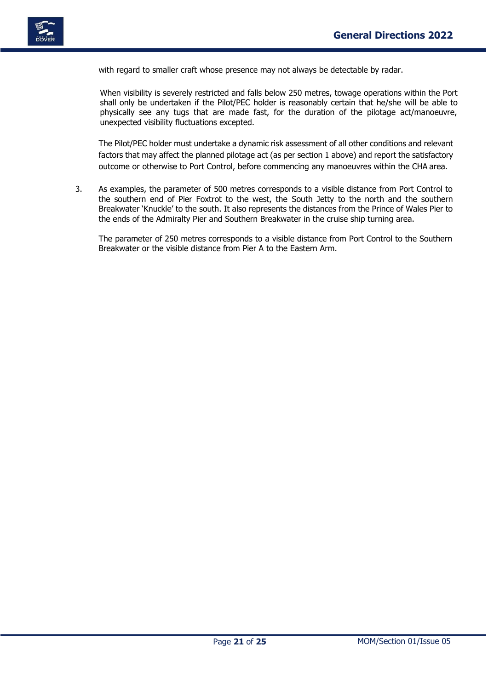

with regard to smaller craft whose presence may not always be detectable by radar.

When visibility is severely restricted and falls below 250 metres, towage operations within the Port shall only be undertaken if the Pilot/PEC holder is reasonably certain that he/she will be able to physically see any tugs that are made fast, for the duration of the pilotage act/manoeuvre, unexpected visibility fluctuations excepted.

The Pilot/PEC holder must undertake a dynamic risk assessment of all other conditions and relevant factors that may affect the planned pilotage act (as per section 1 above) and report the satisfactory outcome or otherwise to Port Control, before commencing any manoeuvres within the CHA area.

3. As examples, the parameter of 500 metres corresponds to a visible distance from Port Control to the southern end of Pier Foxtrot to the west, the South Jetty to the north and the southern Breakwater 'Knuckle' to the south. It also represents the distances from the Prince of Wales Pier to the ends of the Admiralty Pier and Southern Breakwater in the cruise ship turning area.

The parameter of 250 metres corresponds to a visible distance from Port Control to the Southern Breakwater or the visible distance from Pier A to the Eastern Arm.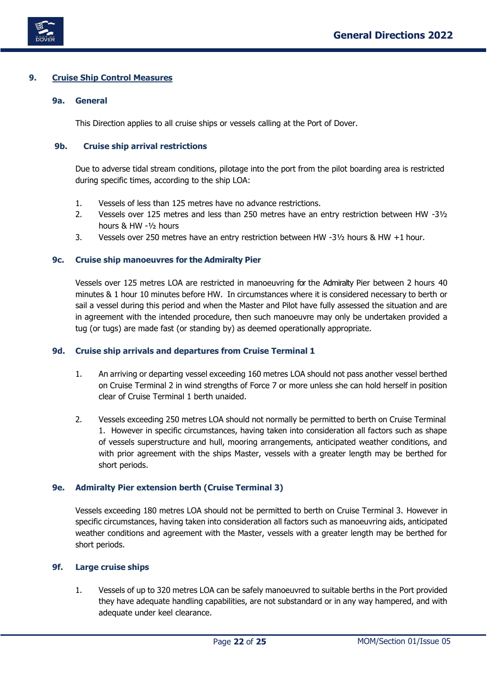

# <span id="page-22-1"></span><span id="page-22-0"></span>**9. Cruise Ship Control Measures**

# **9a. General**

This Direction applies to all cruise ships or vessels calling at the Port of Dover.

# <span id="page-22-2"></span>**9b. Cruise ship arrival restrictions**

Due to adverse tidal stream conditions, pilotage into the port from the pilot boarding area is restricted during specific times, according to the ship LOA:

- 1. Vessels of less than 125 metres have no advance restrictions.
- 2. Vessels over 125 metres and less than 250 metres have an entry restriction between HW -3½ hours & HW -½ hours
- 3. Vessels over 250 metres have an entry restriction between HW -3½ hours & HW +1 hour.

# <span id="page-22-3"></span>**9c. Cruise ship manoeuvres for the Admiralty Pier**

Vessels over 125 metres LOA are restricted in manoeuvring for the Admiralty Pier between 2 hours 40 minutes & 1 hour 10 minutes before HW. In circumstances where it is considered necessary to berth or sail a vessel during this period and when the Master and Pilot have fully assessed the situation and are in agreement with the intended procedure, then such manoeuvre may only be undertaken provided a tug (or tugs) are made fast (or standing by) as deemed operationally appropriate.

### <span id="page-22-4"></span>**9d. Cruise ship arrivals and departures from Cruise Terminal 1**

- 1. An arriving or departing vessel exceeding 160 metres LOA should not pass another vessel berthed on Cruise Terminal 2 in wind strengths of Force 7 or more unless she can hold herself in position clear of Cruise Terminal 1 berth unaided.
- 2. Vessels exceeding 250 metres LOA should not normally be permitted to berth on Cruise Terminal 1. However in specific circumstances, having taken into consideration all factors such as shape of vessels superstructure and hull, mooring arrangements, anticipated weather conditions, and with prior agreement with the ships Master, vessels with a greater length may be berthed for short periods.

# <span id="page-22-5"></span>**9e. Admiralty Pier extension berth (Cruise Terminal 3)**

Vessels exceeding 180 metres LOA should not be permitted to berth on Cruise Terminal 3. However in specific circumstances, having taken into consideration all factors such as manoeuvring aids, anticipated weather conditions and agreement with the Master, vessels with a greater length may be berthed for short periods.

# <span id="page-22-6"></span>**9f. Large cruise ships**

1. Vessels of up to 320 metres LOA can be safely manoeuvred to suitable berths in the Port provided they have adequate handling capabilities, are not substandard or in any way hampered, and with adequate under keel clearance.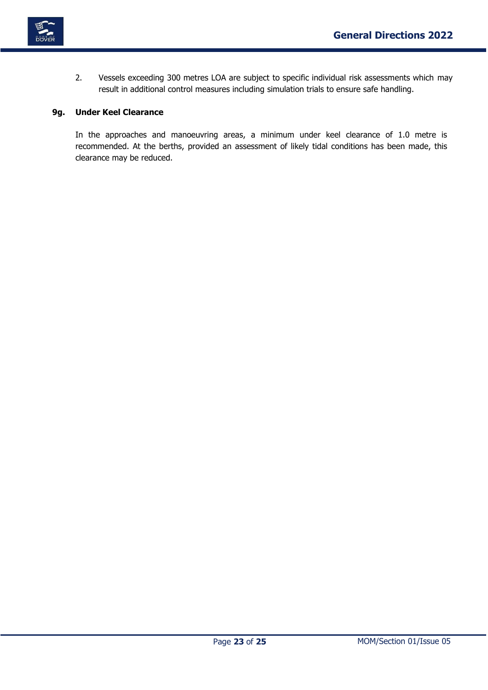

2. Vessels exceeding 300 metres LOA are subject to specific individual risk assessments which may result in additional control measures including simulation trials to ensure safe handling.

# <span id="page-23-0"></span>**9g. Under Keel Clearance**

In the approaches and manoeuvring areas, a minimum under keel clearance of 1.0 metre is recommended. At the berths, provided an assessment of likely tidal conditions has been made, this clearance may be reduced.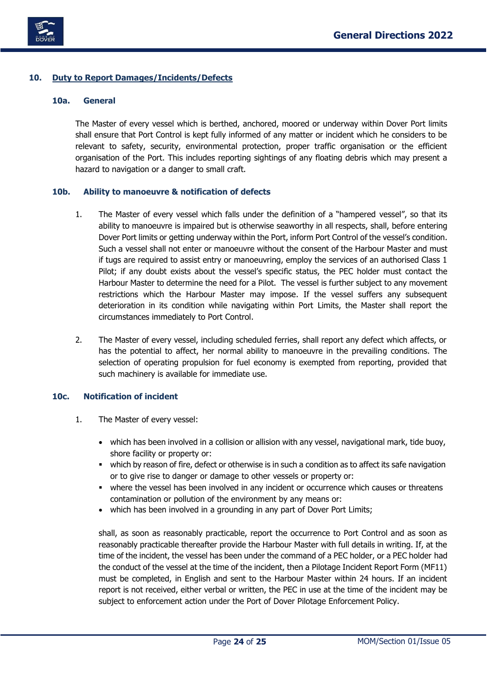

# <span id="page-24-1"></span><span id="page-24-0"></span>**10. Duty to Report Damages/Incidents/Defects**

# **10a. General**

The Master of every vessel which is berthed, anchored, moored or underway within Dover Port limits shall ensure that Port Control is kept fully informed of any matter or incident which he considers to be relevant to safety, security, environmental protection, proper traffic organisation or the efficient organisation of the Port. This includes reporting sightings of any floating debris which may present a hazard to navigation or a danger to small craft.

# <span id="page-24-2"></span>**10b. Ability to manoeuvre & notification of defects**

- 1. The Master of every vessel which falls under the definition of a "hampered vessel", so that its ability to manoeuvre is impaired but is otherwise seaworthy in all respects, shall, before entering Dover Port limits or getting underway within the Port, inform Port Control of the vessel's condition. Such a vessel shall not enter or manoeuvre without the consent of the Harbour Master and must if tugs are required to assist entry or manoeuvring, employ the services of an authorised Class 1 Pilot; if any doubt exists about the vessel's specific status, the PEC holder must contact the Harbour Master to determine the need for a Pilot. The vessel is further subject to any movement restrictions which the Harbour Master may impose. If the vessel suffers any subsequent deterioration in its condition while navigating within Port Limits, the Master shall report the circumstances immediately to Port Control.
- 2. The Master of every vessel, including scheduled ferries, shall report any defect which affects, or has the potential to affect, her normal ability to manoeuvre in the prevailing conditions. The selection of operating propulsion for fuel economy is exempted from reporting, provided that such machinery is available for immediate use.

### <span id="page-24-3"></span>**10c. Notification of incident**

- 1. The Master of every vessel:
	- which has been involved in a collision or allision with any vessel, navigational mark, tide buoy, shore facility or property or:
	- . which by reason of fire, defect or otherwise is in such a condition as to affect its safe navigation or to give rise to danger or damage to other vessels or property or:
	- where the vessel has been involved in any incident or occurrence which causes or threatens contamination or pollution of the environment by any means or:
	- which has been involved in a grounding in any part of Dover Port Limits;

shall, as soon as reasonably practicable, report the occurrence to Port Control and as soon as reasonably practicable thereafter provide the Harbour Master with full details in writing. If, at the time of the incident, the vessel has been under the command of a PEC holder, or a PEC holder had the conduct of the vessel at the time of the incident, then a Pilotage Incident Report Form (MF11) must be completed, in English and sent to the Harbour Master within 24 hours. If an incident report is not received, either verbal or written, the PEC in use at the time of the incident may be subject to enforcement action under the Port of Dover Pilotage Enforcement Policy.